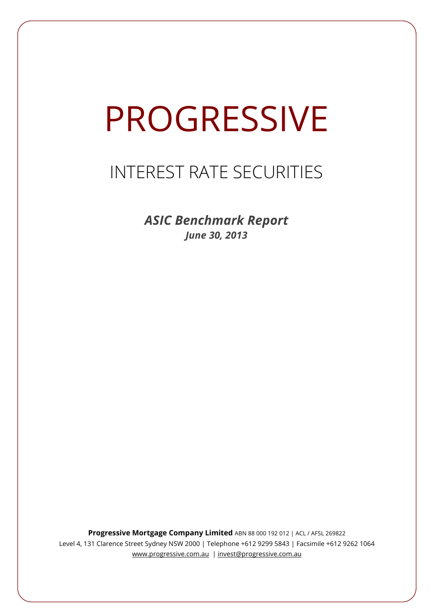# **PROGRESSIVE**

## INTEREST RATE SECURITIES

*ASIC Benchmark Report June 30, 2013*

**Progressive Mortgage Company Limited** ABN 88 000 192 012 | ACL / AFSL 269822 Level 4, 131 Clarence Street Sydney NSW 2000 | Telephone +612 9299 5843 | Facsimile +612 9262 1064 www.progressive.com.au | invest@progressive.com.au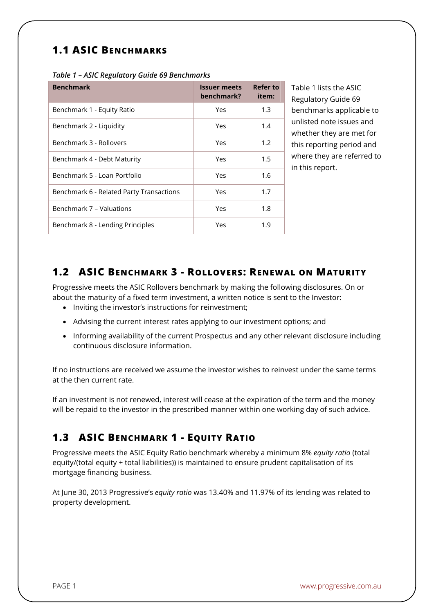## **1.1 ASIC BENCHMARKS**

| <b>Benchmark</b>                         | <b>Issuer meets</b><br>benchmark? | Refer to<br>item: |
|------------------------------------------|-----------------------------------|-------------------|
| Benchmark 1 - Equity Ratio               | Yes                               | 1.3               |
| Benchmark 2 - Liquidity                  | Yes                               | 1.4               |
| Benchmark 3 - Rollovers                  | Yes                               | 1.2               |
| Benchmark 4 - Debt Maturity              | Yes                               | 1.5               |
| Benchmark 5 - Loan Portfolio             | Yes                               | 1.6               |
| Benchmark 6 - Related Party Transactions | Yes                               | 1.7               |
| Benchmark 7 - Valuations                 | Yes                               | 1.8               |
| Benchmark 8 - Lending Principles         | Yes                               | 1.9               |

Table 1 lists the ASIC Regulatory Guide 69 benchmarks applicable to unlisted note issues and whether they are met for this reporting period and where they are referred to in this report.

### **1.2 ASIC BENCHMARK 3 - ROLLOVERS: RENEWAL ON MATURITY**

Progressive meets the ASIC Rollovers benchmark by making the following disclosures. On or about the maturity of a fixed term investment, a written notice is sent to the Investor:

- Inviting the investor's instructions for reinvestment;
- Advising the current interest rates applying to our investment options; and
- Informing availability of the current Prospectus and any other relevant disclosure including continuous disclosure information.

If no instructions are received we assume the investor wishes to reinvest under the same terms at the then current rate.

If an investment is not renewed, interest will cease at the expiration of the term and the money will be repaid to the investor in the prescribed manner within one working day of such advice.

## **1.3 ASIC BENCHMARK 1 - EQUITY RATIO**

Progressive meets the ASIC Equity Ratio benchmark whereby a minimum 8% *equity ratio* (total equity/(total equity + total liabilities)) is maintained to ensure prudent capitalisation of its mortgage financing business.

At June 30, 2013 Progressive's *equity ratio* was 13.40% and 11.97% of its lending was related to property development.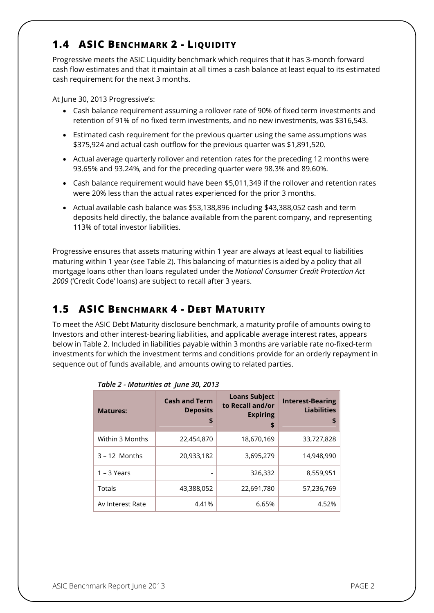## **1.4 ASIC BENCHMARK 2 - LIQUIDITY**

Progressive meets the ASIC Liquidity benchmark which requires that it has 3-month forward cash flow estimates and that it maintain at all times a cash balance at least equal to its estimated cash requirement for the next 3 months.

At June 30, 2013 Progressive's:

- Cash balance requirement assuming a rollover rate of 90% of fixed term investments and retention of 91% of no fixed term investments, and no new investments, was \$316,543.
- Estimated cash requirement for the previous quarter using the same assumptions was \$375,924 and actual cash outflow for the previous quarter was \$1,891,520.
- Actual average quarterly rollover and retention rates for the preceding 12 months were 93.65% and 93.24%, and for the preceding quarter were 98.3% and 89.60%.
- Cash balance requirement would have been \$5,011,349 if the rollover and retention rates were 20% less than the actual rates experienced for the prior 3 months.
- Actual available cash balance was \$53,138,896 including \$43,388,052 cash and term deposits held directly, the balance available from the parent company, and representing 113% of total investor liabilities.

Progressive ensures that assets maturing within 1 year are always at least equal to liabilities maturing within 1 year (see Table 2). This balancing of maturities is aided by a policy that all mortgage loans other than loans regulated under the *National Consumer Credit Protection Act 2009* ('Credit Code' loans) are subject to recall after 3 years.

## **1.5 ASIC BENCHMARK 4 - DEBT MATURITY**

To meet the ASIC Debt Maturity disclosure benchmark, a maturity profile of amounts owing to Investors and other interest-bearing liabilities, and applicable average interest rates, appears below in Table 2. Included in liabilities payable within 3 months are variable rate no-fixed-term investments for which the investment terms and conditions provide for an orderly repayment in sequence out of funds available, and amounts owing to related parties.

| <b>Matures:</b>  | <b>Cash and Term</b><br><b>Deposits</b><br>\$ | <b>Loans Subject</b><br>to Recall and/or<br><b>Expiring</b><br>\$ | <b>Interest-Bearing</b><br><b>Liabilities</b><br>\$ |
|------------------|-----------------------------------------------|-------------------------------------------------------------------|-----------------------------------------------------|
| Within 3 Months  | 22,454,870                                    | 18,670,169                                                        | 33,727,828                                          |
| $3 - 12$ Months  | 20,933,182                                    | 3,695,279                                                         | 14,948,990                                          |
| $1 - 3$ Years    | ٠                                             | 326,332                                                           | 8,559,951                                           |
| Totals           | 43,388,052                                    | 22,691,780                                                        | 57,236,769                                          |
| Av Interest Rate | 4.41%                                         | 6.65%                                                             | 4.52%                                               |

|  | Table 2 - Maturities at June 30, 2013 |  |  |
|--|---------------------------------------|--|--|
|  |                                       |  |  |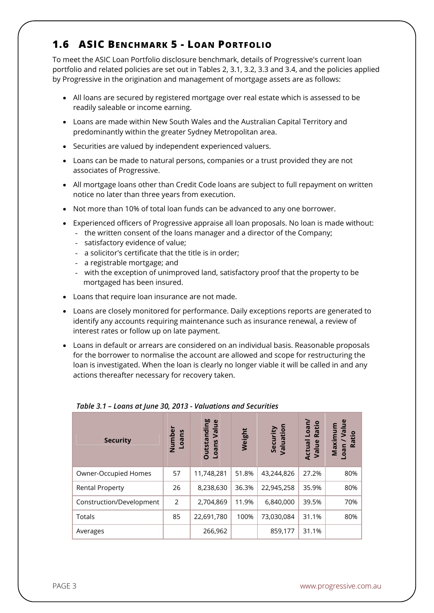## **1.6 ASIC BENCHMARK 5 - LOAN PORTFOLIO**

To meet the ASIC Loan Portfolio disclosure benchmark, details of Progressive's current loan portfolio and related policies are set out in Tables 2, 3.1, 3.2, 3.3 and 3.4, and the policies applied by Progressive in the origination and management of mortgage assets are as follows:

- All loans are secured by registered mortgage over real estate which is assessed to be readily saleable or income earning.
- Loans are made within New South Wales and the Australian Capital Territory and predominantly within the greater Sydney Metropolitan area.
- Securities are valued by independent experienced valuers.
- Loans can be made to natural persons, companies or a trust provided they are not associates of Progressive.
- All mortgage loans other than Credit Code loans are subject to full repayment on written notice no later than three years from execution.
- Not more than 10% of total loan funds can be advanced to any one borrower.
- Experienced officers of Progressive appraise all loan proposals. No loan is made without:
	- the written consent of the loans manager and a director of the Company;
	- satisfactory evidence of value;
	- a solicitor's certificate that the title is in order;
	- a registrable mortgage; and
	- with the exception of unimproved land, satisfactory proof that the property to be mortgaged has been insured.
- Loans that require loan insurance are not made.
- Loans are closely monitored for performance. Daily exceptions reports are generated to identify any accounts requiring maintenance such as insurance renewal, a review of interest rates or follow up on late payment.
- Loans in default or arrears are considered on an individual basis. Reasonable proposals for the borrower to normalise the account are allowed and scope for restructuring the loan is investigated. When the loan is clearly no longer viable it will be called in and any actions thereafter necessary for recovery taken.

| <b>Security</b>          | Number<br>Loans | <b>Outstanding</b><br>$\mathbf{\omega}$<br>Valu<br>Loans | Weight | Security<br>Valuation | Loan/<br>Ratio<br>Actual<br>Value | $\mathbf{u}$<br>ε<br>$\bar{\mathbf{s}}$<br>Maximu<br>Ratio<br>Loan |
|--------------------------|-----------------|----------------------------------------------------------|--------|-----------------------|-----------------------------------|--------------------------------------------------------------------|
| Owner-Occupied Homes     | 57              | 11,748,281                                               | 51.8%  | 43,244,826            | 27.2%                             | 80%                                                                |
| <b>Rental Property</b>   | 26              | 8,238,630                                                | 36.3%  | 22,945,258            | 35.9%                             | 80%                                                                |
| Construction/Development | 2               | 2,704,869                                                | 11.9%  | 6,840,000             | 39.5%                             | 70%                                                                |
| Totals                   | 85              | 22,691,780                                               | 100%   | 73,030,084            | 31.1%                             | 80%                                                                |
| Averages                 |                 | 266,962                                                  |        | 859,177               | 31.1%                             |                                                                    |

#### *Table 3.1 – Loans at June 30, 2013 - Valuations and Securities*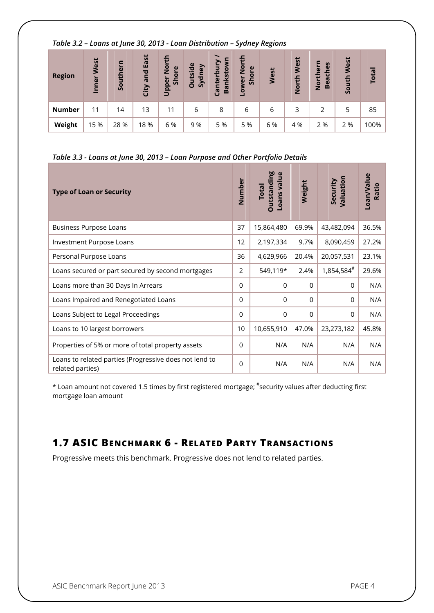#### *Table 3.2 – Loans at June 30, 2013 - Loan Distribution – Sydney Regions*

| <b>Region</b> | West<br>Inner | Southern | East<br>and<br>City | £<br>$\frac{5}{2}$<br>ၑ<br>$\overline{O}$<br>Upper<br>운 | utside<br>Sydney<br>Ō | Canterbur<br>nksto<br>Ba | μ<br>$\overline{2}$<br>$\mathbf{\omega}$<br><b>1</b><br>Sho<br>Lowel | West | West<br>North | ern<br><b>Beaches</b><br>Nortl | West<br>South | <b>Total</b> |
|---------------|---------------|----------|---------------------|---------------------------------------------------------|-----------------------|--------------------------|----------------------------------------------------------------------|------|---------------|--------------------------------|---------------|--------------|
| <b>Number</b> | 11            | 14       | 13                  | 11                                                      | 6                     | 8                        | 6                                                                    | 6    | 3             |                                | 5             | 85           |
| Weight        | 15 %          | 28 %     | 18%                 | 6 %                                                     | 9 %                   | 5 %                      | 5 %                                                                  | 6 %  | 4 %           | 2 %                            | 2 %           | 100%         |

#### *Table 3.3 - Loans at June 30, 2013 – Loan Purpose and Other Portfolio Details*

| <b>Type of Loan or Security</b>                                            | Number   | <b>Outstanding</b><br>Loans value<br><b>Total</b> | Weight      | Valuation<br>Security | Loan/Value<br>Ratio |
|----------------------------------------------------------------------------|----------|---------------------------------------------------|-------------|-----------------------|---------------------|
| <b>Business Purpose Loans</b>                                              | 37       | 15,864,480                                        | 69.9%       | 43,482,094            | 36.5%               |
| Investment Purpose Loans                                                   | 12       | 2,197,334                                         | 9.7%        | 8,090,459             | 27.2%               |
| Personal Purpose Loans                                                     | 36       | 4,629,966                                         | 20.4%       | 20,057,531            | 23.1%               |
| Loans secured or part secured by second mortgages                          | 2        | 549,119*                                          | 2.4%        | 1,854,584#            | 29.6%               |
| Loans more than 30 Days In Arrears                                         | $\Omega$ | $\Omega$                                          | $\mathbf 0$ | $\Omega$              | N/A                 |
| Loans Impaired and Renegotiated Loans                                      | $\Omega$ | $\Omega$                                          | 0           | 0                     | N/A                 |
| Loans Subject to Legal Proceedings                                         | $\Omega$ | $\Omega$                                          | $\Omega$    | $\Omega$              | N/A                 |
| Loans to 10 largest borrowers                                              | 10       | 10,655,910                                        | 47.0%       | 23,273,182            | 45.8%               |
| Properties of 5% or more of total property assets                          | $\Omega$ | N/A                                               | N/A         | N/A                   | N/A                 |
| Loans to related parties (Progressive does not lend to<br>related parties) | $\Omega$ | N/A                                               | N/A         | N/A                   | N/A                 |

\* Loan amount not covered 1.5 times by first registered mortgage; # security values after deducting first mortgage loan amount

## **1.7 ASIC BENCHMARK 6 - RELATED PARTY TRANSACTIONS**

Progressive meets this benchmark. Progressive does not lend to related parties.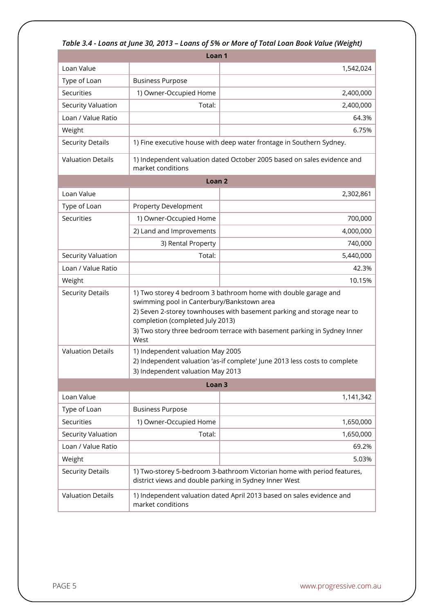|                           | Loan <sub>1</sub>                                                                                                                                                                                                                                                                                              |                                                                         |  |  |  |  |
|---------------------------|----------------------------------------------------------------------------------------------------------------------------------------------------------------------------------------------------------------------------------------------------------------------------------------------------------------|-------------------------------------------------------------------------|--|--|--|--|
| Loan Value                |                                                                                                                                                                                                                                                                                                                | 1,542,024                                                               |  |  |  |  |
| Type of Loan              | <b>Business Purpose</b>                                                                                                                                                                                                                                                                                        |                                                                         |  |  |  |  |
| Securities                | 1) Owner-Occupied Home                                                                                                                                                                                                                                                                                         | 2,400,000                                                               |  |  |  |  |
| <b>Security Valuation</b> | Total:                                                                                                                                                                                                                                                                                                         | 2,400,000                                                               |  |  |  |  |
| Loan / Value Ratio        |                                                                                                                                                                                                                                                                                                                | 64.3%                                                                   |  |  |  |  |
| Weight                    |                                                                                                                                                                                                                                                                                                                | 6.75%                                                                   |  |  |  |  |
| <b>Security Details</b>   |                                                                                                                                                                                                                                                                                                                | 1) Fine executive house with deep water frontage in Southern Sydney.    |  |  |  |  |
| <b>Valuation Details</b>  | market conditions                                                                                                                                                                                                                                                                                              | 1) Independent valuation dated October 2005 based on sales evidence and |  |  |  |  |
|                           | Loan <sub>2</sub>                                                                                                                                                                                                                                                                                              |                                                                         |  |  |  |  |
| Loan Value                |                                                                                                                                                                                                                                                                                                                | 2,302,861                                                               |  |  |  |  |
| Type of Loan              | <b>Property Development</b>                                                                                                                                                                                                                                                                                    |                                                                         |  |  |  |  |
| Securities                | 1) Owner-Occupied Home                                                                                                                                                                                                                                                                                         | 700,000                                                                 |  |  |  |  |
|                           | 2) Land and Improvements                                                                                                                                                                                                                                                                                       | 4,000,000                                                               |  |  |  |  |
|                           | 3) Rental Property                                                                                                                                                                                                                                                                                             | 740,000                                                                 |  |  |  |  |
| <b>Security Valuation</b> | Total:                                                                                                                                                                                                                                                                                                         | 5,440,000                                                               |  |  |  |  |
| Loan / Value Ratio        |                                                                                                                                                                                                                                                                                                                | 42.3%                                                                   |  |  |  |  |
| Weight                    |                                                                                                                                                                                                                                                                                                                | 10.15%                                                                  |  |  |  |  |
| <b>Security Details</b>   | 1) Two storey 4 bedroom 3 bathroom home with double garage and<br>swimming pool in Canterbury/Bankstown area<br>2) Seven 2-storey townhouses with basement parking and storage near to<br>completion (completed July 2013)<br>3) Two story three bedroom terrace with basement parking in Sydney Inner<br>West |                                                                         |  |  |  |  |
| <b>Valuation Details</b>  | 1) Independent valuation May 2005<br>2) Independent valuation 'as-if complete' June 2013 less costs to complete<br>3) Independent valuation May 2013                                                                                                                                                           |                                                                         |  |  |  |  |
| Loan <sub>3</sub>         |                                                                                                                                                                                                                                                                                                                |                                                                         |  |  |  |  |
| Loan Value                |                                                                                                                                                                                                                                                                                                                | 1,141,342                                                               |  |  |  |  |
| Type of Loan              | <b>Business Purpose</b>                                                                                                                                                                                                                                                                                        |                                                                         |  |  |  |  |
| Securities                | 1) Owner-Occupied Home                                                                                                                                                                                                                                                                                         | 1,650,000                                                               |  |  |  |  |
| Security Valuation        | Total:                                                                                                                                                                                                                                                                                                         | 1,650,000                                                               |  |  |  |  |
| Loan / Value Ratio        |                                                                                                                                                                                                                                                                                                                | 69.2%                                                                   |  |  |  |  |
| Weight                    |                                                                                                                                                                                                                                                                                                                | 5.03%                                                                   |  |  |  |  |
| <b>Security Details</b>   | 1) Two-storey 5-bedroom 3-bathroom Victorian home with period features,<br>district views and double parking in Sydney Inner West                                                                                                                                                                              |                                                                         |  |  |  |  |

Valuation Details 1) Independent valuation dated April 2013 based on sales evidence and

market conditions

#### *Table 3.4 - Loans at June 30, 2013 – Loans of 5% or More of Total Loan Book Value (Weight)*